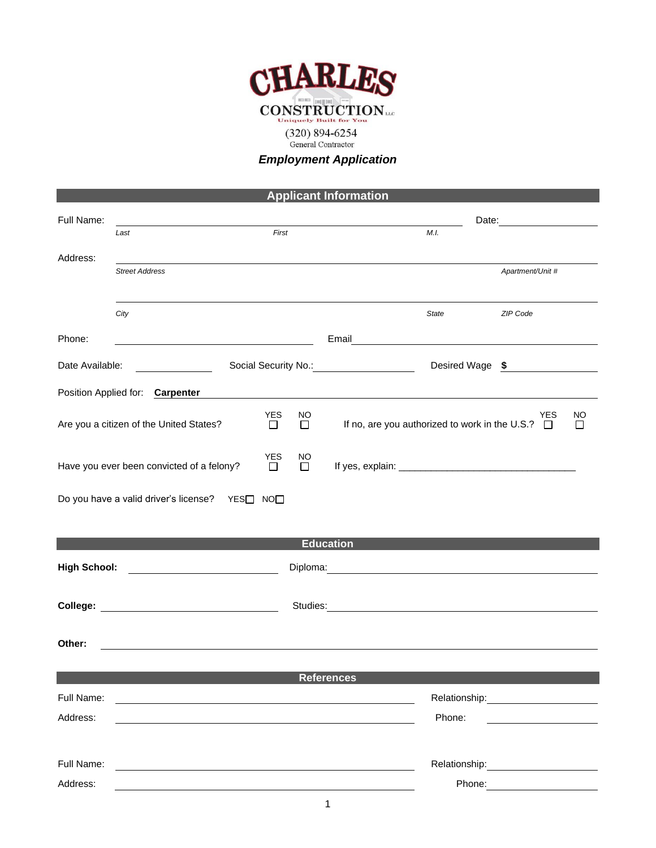

## *Employment Application*

## **Applicant Information**

| Full Name:          |                                                                                                                      |                      |         |                                                                                                                                                                                                                                      |                                                       |                  |    |
|---------------------|----------------------------------------------------------------------------------------------------------------------|----------------------|---------|--------------------------------------------------------------------------------------------------------------------------------------------------------------------------------------------------------------------------------------|-------------------------------------------------------|------------------|----|
|                     | First<br>Last                                                                                                        |                      |         |                                                                                                                                                                                                                                      | M.I.                                                  |                  |    |
| Address:            | <b>Street Address</b>                                                                                                |                      |         |                                                                                                                                                                                                                                      |                                                       | Apartment/Unit # |    |
|                     | City                                                                                                                 |                      |         |                                                                                                                                                                                                                                      | <b>State</b>                                          | ZIP Code         |    |
| Phone:              |                                                                                                                      |                      |         | Email <u>________________________</u>                                                                                                                                                                                                |                                                       |                  |    |
| Date Available:     |                                                                                                                      |                      |         |                                                                                                                                                                                                                                      |                                                       | Desired Wage \$  |    |
|                     | Position Applied for: Carpenter                                                                                      |                      |         |                                                                                                                                                                                                                                      |                                                       |                  |    |
|                     | Are you a citizen of the United States?                                                                              | <b>YES</b><br>$\Box$ | NO<br>П |                                                                                                                                                                                                                                      | If no, are you authorized to work in the U.S.? $\Box$ | YES              | ΝO |
|                     | Have you ever been convicted of a felony?                                                                            | <b>YES</b><br>$\Box$ | NO<br>П |                                                                                                                                                                                                                                      |                                                       |                  |    |
|                     | Do you have a valid driver's license?  YES□ NO□                                                                      |                      |         |                                                                                                                                                                                                                                      |                                                       |                  |    |
|                     |                                                                                                                      |                      |         | <b>Education</b>                                                                                                                                                                                                                     |                                                       |                  |    |
| <b>High School:</b> |                                                                                                                      |                      |         | Diploma: <u>Contract of the Contract of the Contract of the Contract of the Contract of the Contract of the Contract of the Contract of the Contract of the Contract of the Contract of the Contract of the Contract of the Cont</u> |                                                       |                  |    |
|                     |                                                                                                                      |                      |         | Studies: etc. and the state of the state of the state of the state of the state of the state of the state of the state of the state of the state of the state of the state of the state of the state of the state of the state       |                                                       |                  |    |
| Other:              |                                                                                                                      |                      |         |                                                                                                                                                                                                                                      |                                                       |                  |    |
|                     |                                                                                                                      |                      |         | <b>References</b>                                                                                                                                                                                                                    |                                                       |                  |    |
| Full Name:          | <u> 1989 - Jan Stein Stein Stein Stein Stein Stein Stein Stein Stein Stein Stein Stein Stein Stein Stein Stein S</u> |                      |         |                                                                                                                                                                                                                                      |                                                       |                  |    |
| Address:            |                                                                                                                      |                      |         |                                                                                                                                                                                                                                      | Phone:                                                |                  |    |
|                     |                                                                                                                      |                      |         |                                                                                                                                                                                                                                      |                                                       |                  |    |
| Full Name:          | <u> 1989 - Johann Stein, fransk politik (f. 1989)</u>                                                                |                      |         |                                                                                                                                                                                                                                      |                                                       |                  |    |
| Address:            |                                                                                                                      |                      |         |                                                                                                                                                                                                                                      |                                                       | Phone: 2000      |    |